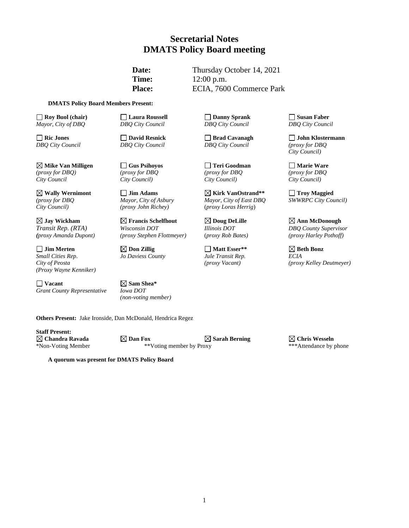### **Secretarial Notes DMATS Policy Board meeting**

**Date:** Thursday October 14, 2021 **Time:** 12:00 p.m. Place: ECIA, 7600 Commerce Park

#### **DMATS Policy Board Members Present:**

**Roy Buol (chair) Roy Buol (chair) C Laura Roussell C Danny Sprank Susan Faber**<br> *Rayor, City of DBQ* **City Council COUNTING** *DBQ* City Council *DBQ* City Council *DBQ* City Council *Mayor, City of DBQ DBQ City Council DBQ City Council DBQ City Council*

**Mike Van Milligen Gus Psihoyos Teri Goodman Marie Ware** *(proxy for DBQ) (proxy for DBQ (proxy for DBQ (proxy for DBQ City Council City Council) City Council) City Council)*

**Jay Wickham Francis Schelfhout Doug DeLille Ann McDonough**

**Jim Merten Don Zillig Matt Esser\*\* Beth Bonz** *Small Cities Rep*. *Jo Daviess County Jule Transit Rep. ECIA (Proxy Wayne Kenniker)*

**Vacant Sam Shea\***  *Grant County Representative Iowa DOT*

*City Council) (proxy John Richey)* (*proxy Loras Herrig*)

*Transit Rep. (RTA) Wisconsin DOT Illinois DOT DBQ County Supervisor*

*(non-voting member)*

**Others Present:** Jake Ironside, Dan McDonald, Hendrica Regez

**Staff Present:**

 $\boxtimes$  **Chandra Ravada Dan Fox**  $\boxtimes$  Dan Fox  $\boxtimes$  Sarah Berning  $\boxtimes$  Chris Wesseln \*Non-Voting Member \*\*Voting member by Proxy \*\*\*Attendance by phone \*Non-Voting Member \*\*Voting member by Proxy

**A quorum was present for DMATS Policy Board**

*DBQ City Council DBQ City Council DBQ City Council (proxy for DBQ*

**Wally Wernimont Jim Adams Kirk VanOstrand\*\* Troy Maggied** *(proxy for DBQ Mayor, City of Asbury Mayor, City of East DBQ SWWRPC City Council)* 

**Ric Jones David Resnick Brad Cavanagh John Klostermann** *City Council)*

*(proxy Amanda Dupont) (proxy Stephen Flottmeyer)* (*proxy Rob Bates) (proxy Harley Pothoff)*

*City of Peosta (proxy Vacant) (proxy Kelley Deutmeyer)*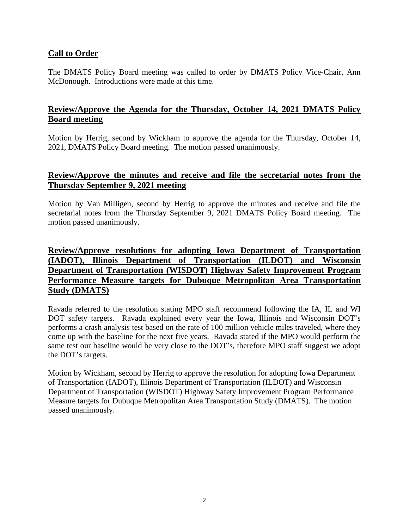### **Call to Order**

The DMATS Policy Board meeting was called to order by DMATS Policy Vice-Chair, Ann McDonough. Introductions were made at this time.

### **Review/Approve the Agenda for the Thursday, October 14, 2021 DMATS Policy Board meeting**

Motion by Herrig, second by Wickham to approve the agenda for the Thursday, October 14, 2021, DMATS Policy Board meeting. The motion passed unanimously.

#### **Review/Approve the minutes and receive and file the secretarial notes from the Thursday September 9, 2021 meeting**

Motion by Van Milligen, second by Herrig to approve the minutes and receive and file the secretarial notes from the Thursday September 9, 2021 DMATS Policy Board meeting. The motion passed unanimously.

# **Review/Approve resolutions for adopting Iowa Department of Transportation (IADOT), Illinois Department of Transportation (ILDOT) and Wisconsin Department of Transportation (WISDOT) Highway Safety Improvement Program Performance Measure targets for Dubuque Metropolitan Area Transportation Study (DMATS)**

Ravada referred to the resolution stating MPO staff recommend following the IA, IL and WI DOT safety targets. Ravada explained every year the Iowa, Illinois and Wisconsin DOT's performs a crash analysis test based on the rate of 100 million vehicle miles traveled, where they come up with the baseline for the next five years. Ravada stated if the MPO would perform the same test our baseline would be very close to the DOT's, therefore MPO staff suggest we adopt the DOT's targets.

Motion by Wickham, second by Herrig to approve the resolution for adopting Iowa Department of Transportation (IADOT), Illinois Department of Transportation (ILDOT) and Wisconsin Department of Transportation (WISDOT) Highway Safety Improvement Program Performance Measure targets for Dubuque Metropolitan Area Transportation Study (DMATS). The motion passed unanimously.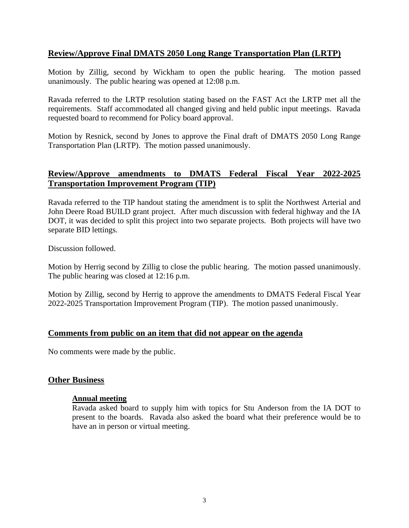## **Review/Approve Final DMATS 2050 Long Range Transportation Plan (LRTP)**

Motion by Zillig, second by Wickham to open the public hearing. The motion passed unanimously. The public hearing was opened at 12:08 p.m.

Ravada referred to the LRTP resolution stating based on the FAST Act the LRTP met all the requirements. Staff accommodated all changed giving and held public input meetings. Ravada requested board to recommend for Policy board approval.

Motion by Resnick, second by Jones to approve the Final draft of DMATS 2050 Long Range Transportation Plan (LRTP). The motion passed unanimously.

## **Review/Approve amendments to DMATS Federal Fiscal Year 2022-2025 Transportation Improvement Program (TIP)**

Ravada referred to the TIP handout stating the amendment is to split the Northwest Arterial and John Deere Road BUILD grant project. After much discussion with federal highway and the IA DOT, it was decided to split this project into two separate projects. Both projects will have two separate BID lettings.

Discussion followed.

Motion by Herrig second by Zillig to close the public hearing. The motion passed unanimously. The public hearing was closed at 12:16 p.m.

Motion by Zillig, second by Herrig to approve the amendments to DMATS Federal Fiscal Year 2022-2025 Transportation Improvement Program (TIP). The motion passed unanimously.

#### **Comments from public on an item that did not appear on the agenda**

No comments were made by the public.

#### **Other Business**

#### **Annual meeting**

Ravada asked board to supply him with topics for Stu Anderson from the IA DOT to present to the boards. Ravada also asked the board what their preference would be to have an in person or virtual meeting.